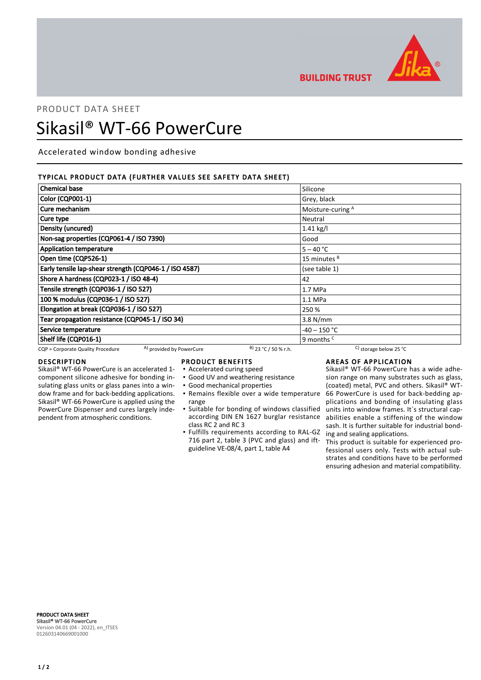

**BUILDING TRUST** 

# PRODUCT DATA SHEET Sikasil® WT-66 PowerCure

Accelerated window bonding adhesive

#### TYPICAL PRODUCT DATA (FURTHER VALUES SEE SAFETY DATA SHEET)

| <b>Chemical base</b>                                          |                        | Silicone                 |  |
|---------------------------------------------------------------|------------------------|--------------------------|--|
| <b>Color (CQP001-1)</b>                                       |                        | Grey, black              |  |
| Cure mechanism                                                |                        | Moisture-curing A        |  |
| Cure type                                                     | Neutral                |                          |  |
| Density (uncured)                                             |                        | 1.41 kg/l                |  |
| Non-sag properties (CQP061-4 / ISO 7390)                      |                        | Good                     |  |
| <b>Application temperature</b>                                |                        | $5 - 40 °C$              |  |
| Open time (CQP526-1)                                          |                        | 15 minutes <sup>B</sup>  |  |
| Early tensile lap-shear strength (CQP046-1 / ISO 4587)        |                        | (see table 1)            |  |
| Shore A hardness (CQP023-1 / ISO 48-4)                        |                        | 42                       |  |
| Tensile strength (CQP036-1 / ISO 527)                         |                        | 1.7 MPa                  |  |
| 100 % modulus (CQP036-1 / ISO 527)                            |                        | $1.1$ MPa                |  |
| Elongation at break (CQP036-1 / ISO 527)                      |                        | 250 %                    |  |
| Tear propagation resistance (CQP045-1 / ISO 34)               |                        | $3.8$ N/mm               |  |
| Service temperature                                           |                        | $-40 - 150$ °C           |  |
| Shelf life (CQP016-1)                                         |                        | 9 months <sup>c</sup>    |  |
| A) provided by PowerCure<br>CQP = Corporate Quality Procedure | $B)$ 23 °C / 50 % r.h. | C) storage below 25 $°C$ |  |

### DESCRIPTION

Sikasil® WT-66 PowerCure is an accelerated 1 component silicone adhesive for bonding insulating glass units or glass panes into a window frame and for back-bedding applications. Sikasil® WT-66 PowerCure is applied using the PowerCure Dispenser and cures largely independent from atmospheric conditions.

#### PRODUCT BENEFITS

- Accelerated curing speed
- Good UV and weathering resistance
- Good mechanical properties
- range
- Suitable for bonding of windows classified according DIN EN 1627 burglar resistance class RC 2 and RC 3
- **.** Fulfills requirements according to RAL-GZ 716 part 2, table 3 (PVC and glass) and iftguideline VE-08/4, part 1, table A4

#### AREAS OF APPLICATION

Remains flexible over a wide temperature ▪ 66 PowerCure is used for back-bedding ap-Sikasil® WT-66 PowerCure has a wide adhesion range on many substrates such as glass, (coated) metal, PVC and others. Sikasil® WTplications and bonding of insulating glass units into window frames. It`s structural capabilities enable a stiffening of the window sash. It is further suitable for industrial bonding and sealing applications.

This product is suitable for experienced professional users only. Tests with actual substrates and conditions have to be performed ensuring adhesion and material compatibility.

PRODUCT DATA SHEET Sikasil® WT-66 PowerCure Version 04.01 (04 - 2022), en\_ITSES 012603140669001000